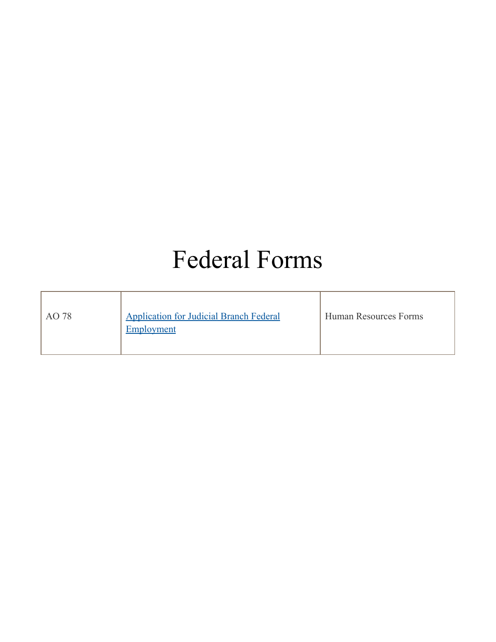## Federal Forms

| AO 78 | <b>Application for Judicial Branch Federal</b><br>Employment | Human Resources Forms |
|-------|--------------------------------------------------------------|-----------------------|
|-------|--------------------------------------------------------------|-----------------------|

 $\mathbb{F}$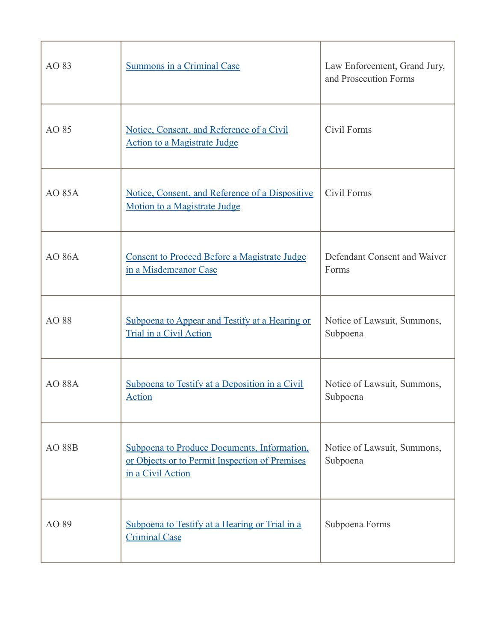| AO 83         | <b>Summons in a Criminal Case</b>                                                                                  | Law Enforcement, Grand Jury,<br>and Prosecution Forms |
|---------------|--------------------------------------------------------------------------------------------------------------------|-------------------------------------------------------|
| AO 85         | Notice, Consent, and Reference of a Civil<br><b>Action to a Magistrate Judge</b>                                   | Civil Forms                                           |
| <b>AO 85A</b> | Notice, Consent, and Reference of a Dispositive<br>Motion to a Magistrate Judge                                    | Civil Forms                                           |
| <b>AO 86A</b> | <b>Consent to Proceed Before a Magistrate Judge</b><br>in a Misdemeanor Case                                       | Defendant Consent and Waiver<br>Forms                 |
| AO 88         | Subpoena to Appear and Testify at a Hearing or<br>Trial in a Civil Action                                          | Notice of Lawsuit, Summons,<br>Subpoena               |
| <b>AO 88A</b> | Subpoena to Testify at a Deposition in a Civil<br><b>Action</b>                                                    | Notice of Lawsuit, Summons,<br>Subpoena               |
| <b>AO 88B</b> | Subpoena to Produce Documents, Information,<br>or Objects or to Permit Inspection of Premises<br>in a Civil Action | Notice of Lawsuit, Summons,<br>Subpoena               |
| AO 89         | Subpoena to Testify at a Hearing or Trial in a<br><b>Criminal Case</b>                                             | Subpoena Forms                                        |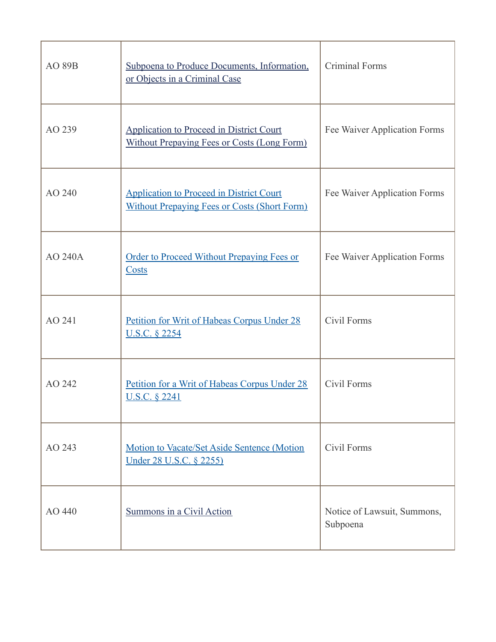| <b>AO 89B</b>  | Subpoena to Produce Documents, Information,<br>or Objects in a Criminal Case                           | Criminal Forms                          |
|----------------|--------------------------------------------------------------------------------------------------------|-----------------------------------------|
| AO 239         | <b>Application to Proceed in District Court</b><br><b>Without Prepaying Fees or Costs (Long Form)</b>  | Fee Waiver Application Forms            |
| AO 240         | <b>Application to Proceed in District Court</b><br><b>Without Prepaying Fees or Costs (Short Form)</b> | Fee Waiver Application Forms            |
| <b>AO 240A</b> | <b>Order to Proceed Without Prepaying Fees or</b><br>Costs                                             | Fee Waiver Application Forms            |
| AO 241         | Petition for Writ of Habeas Corpus Under 28<br><u>U.S.C. § 2254</u>                                    | Civil Forms                             |
| AO 242         | Petition for a Writ of Habeas Corpus Under 28<br><u>U.S.C. § 2241</u>                                  | Civil Forms                             |
| AO 243         | Motion to Vacate/Set Aside Sentence (Motion<br><u>Under 28 U.S.C. § 2255)</u>                          | Civil Forms                             |
| AO 440         | Summons in a Civil Action                                                                              | Notice of Lawsuit, Summons,<br>Subpoena |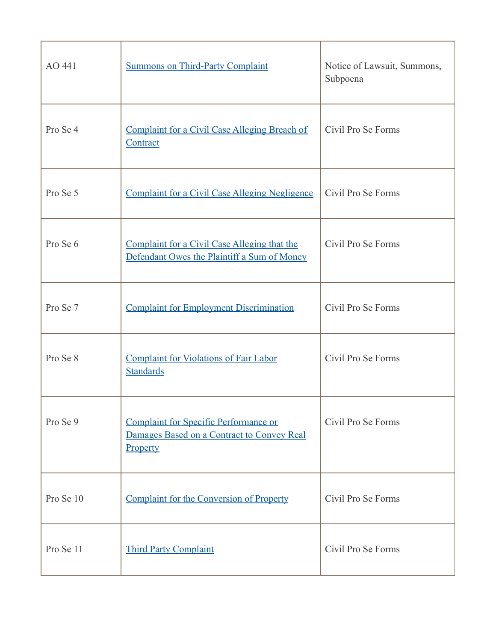| AO441     | <b>Summons on Third-Party Complaint</b>                                                                | Notice of Lawsuit, Summons,<br>Subpoena |
|-----------|--------------------------------------------------------------------------------------------------------|-----------------------------------------|
| Pro Se 4  | <b>Complaint for a Civil Case Alleging Breach of</b><br>Contract                                       | Civil Pro Se Forms                      |
| Pro Se 5  | <b>Complaint for a Civil Case Alleging Negligence</b>                                                  | Civil Pro Se Forms                      |
| Pro Se 6  | Complaint for a Civil Case Alleging that the<br>Defendant Owes the Plaintiff a Sum of Money            | Civil Pro Se Forms                      |
| Pro Se 7  | <b>Complaint for Employment Discrimination</b>                                                         | Civil Pro Se Forms                      |
| Pro Se 8  | <b>Complaint for Violations of Fair Labor</b><br><b>Standards</b>                                      | Civil Pro Se Forms                      |
| Pro Se 9  | <b>Complaint for Specific Performance or</b><br>Damages Based on a Contract to Convey Real<br>Property | Civil Pro Se Forms                      |
| Pro Se 10 | <b>Complaint for the Conversion of Property</b>                                                        | Civil Pro Se Forms                      |
| Pro Se 11 | <b>Third Party Complaint</b>                                                                           | Civil Pro Se Forms                      |